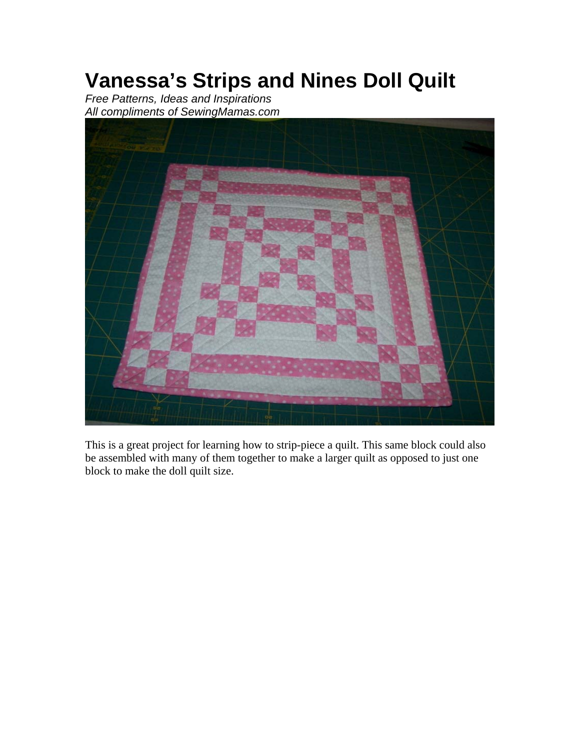## **Vanessa's Strips and Nines Doll Quilt**

*Free Patterns, Ideas and Inspirations All compliments of SewingMamas.com*



This is a great project for learning how to strip-piece a quilt. This same block could also be assembled with many of them together to make a larger quilt as opposed to just one block to make the doll quilt size.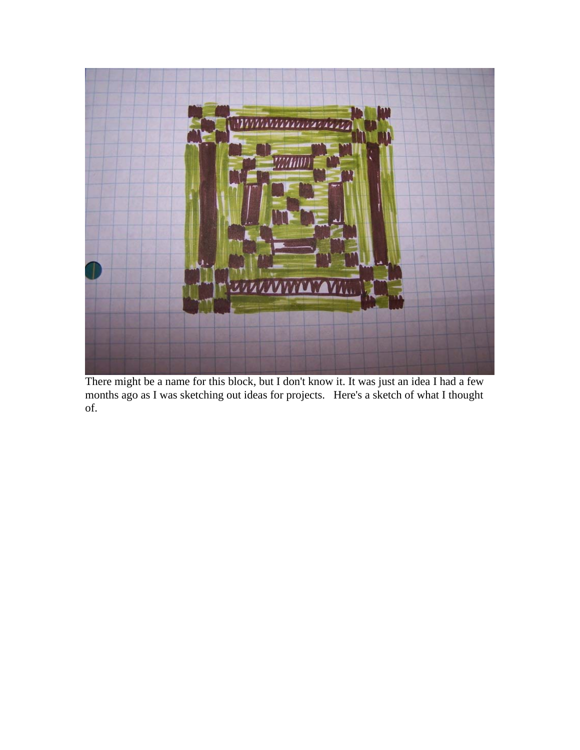

There might be a name for this block, but I don't know it. It was just an idea I had a few months ago as I was sketching out ideas for projects. Here's a sketch of what I thought of.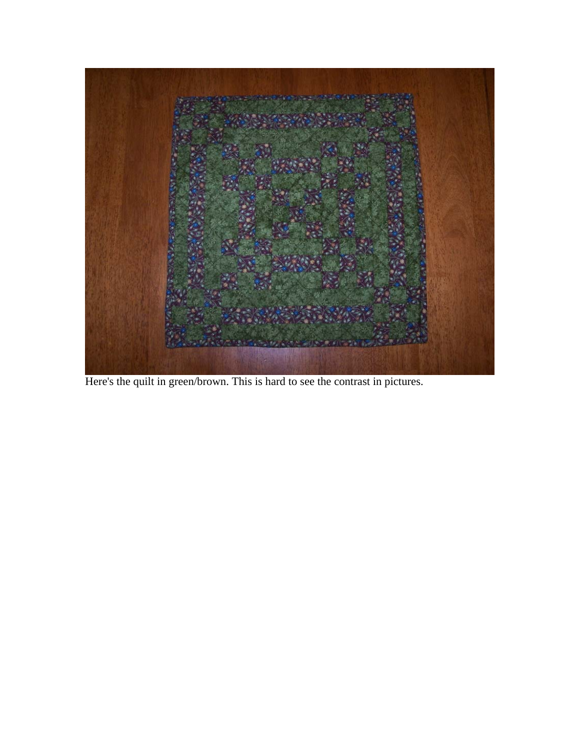

Here's the quilt in green/brown. This is hard to see the contrast in pictures.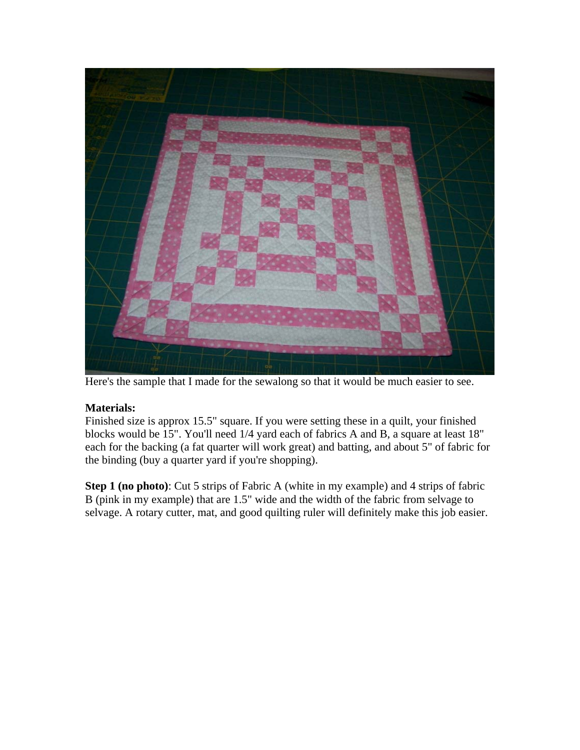

Here's the sample that I made for the sewalong so that it would be much easier to see.

## **Materials:**

Finished size is approx 15.5" square. If you were setting these in a quilt, your finished blocks would be 15". You'll need 1/4 yard each of fabrics A and B, a square at least 18" each for the backing (a fat quarter will work great) and batting, and about 5" of fabric for the binding (buy a quarter yard if you're shopping).

**Step 1 (no photo)**: Cut 5 strips of Fabric A (white in my example) and 4 strips of fabric B (pink in my example) that are 1.5" wide and the width of the fabric from selvage to selvage. A rotary cutter, mat, and good quilting ruler will definitely make this job easier.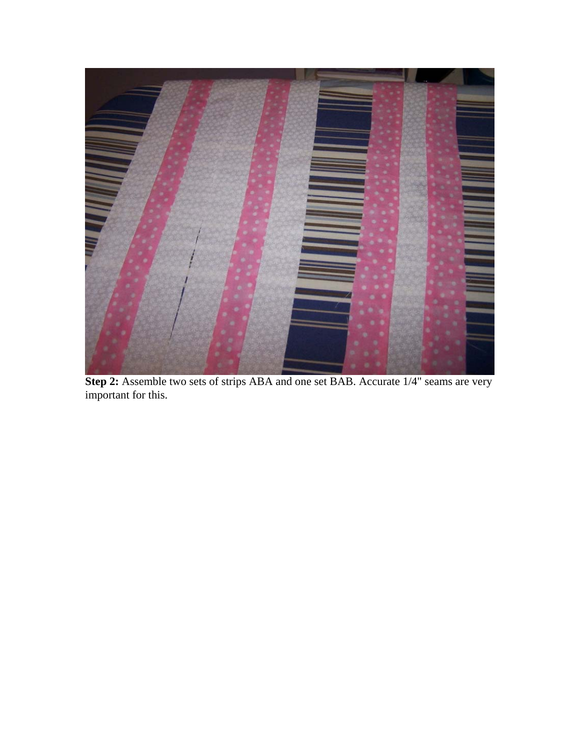

**Step 2:** Assemble two sets of strips ABA and one set BAB. Accurate 1/4" seams are very important for this.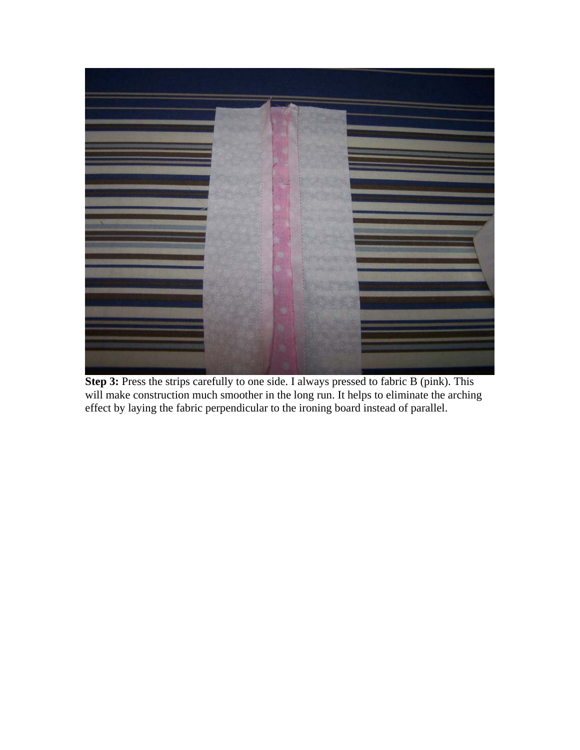

**Step 3:** Press the strips carefully to one side. I always pressed to fabric B (pink). This will make construction much smoother in the long run. It helps to eliminate the arching effect by laying the fabric perpendicular to the ironing board instead of parallel.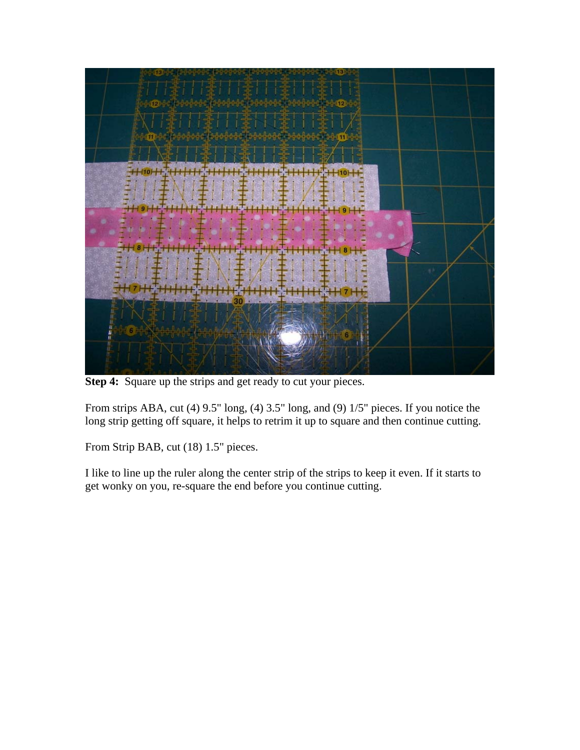

**Step 4:** Square up the strips and get ready to cut your pieces.

From strips ABA, cut (4) 9.5" long, (4) 3.5" long, and (9) 1/5" pieces. If you notice the long strip getting off square, it helps to retrim it up to square and then continue cutting.

From Strip BAB, cut (18) 1.5" pieces.

I like to line up the ruler along the center strip of the strips to keep it even. If it starts to get wonky on you, re-square the end before you continue cutting.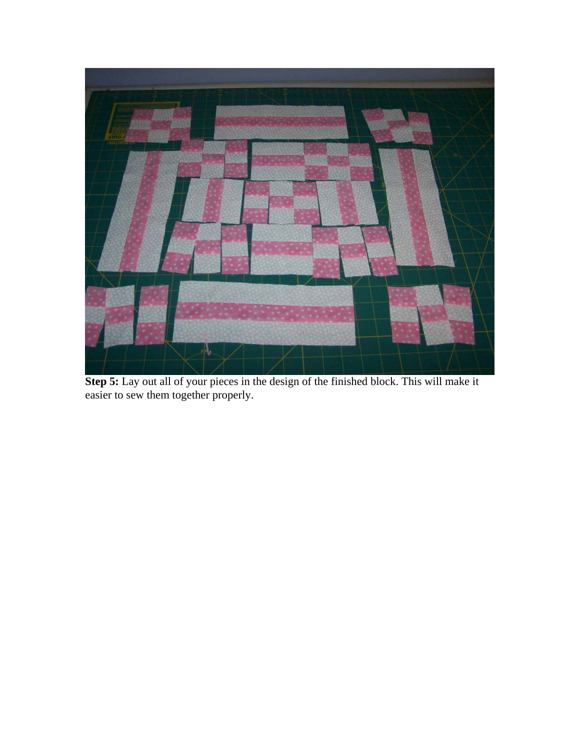![](_page_7_Picture_0.jpeg)

**Step 5:** Lay out all of your pieces in the design of the finished block. This will make it easier to sew them together properly.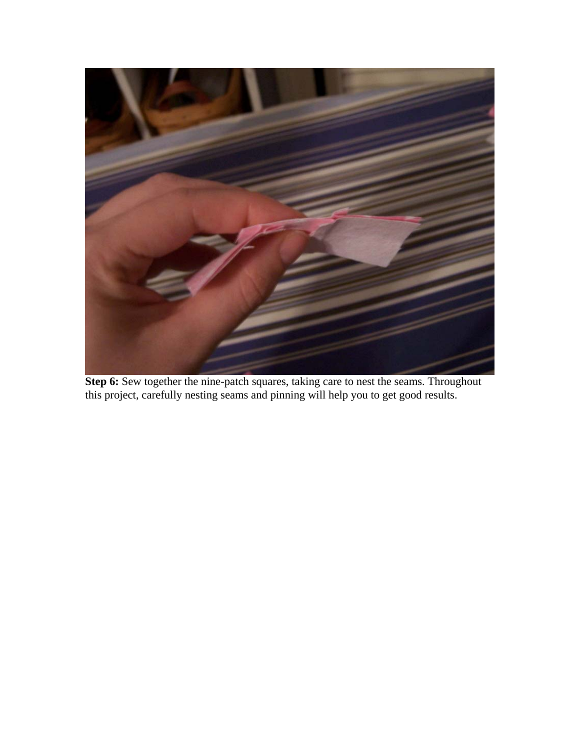![](_page_8_Picture_0.jpeg)

**Step 6:** Sew together the nine-patch squares, taking care to nest the seams. Throughout this project, carefully nesting seams and pinning will help you to get good results.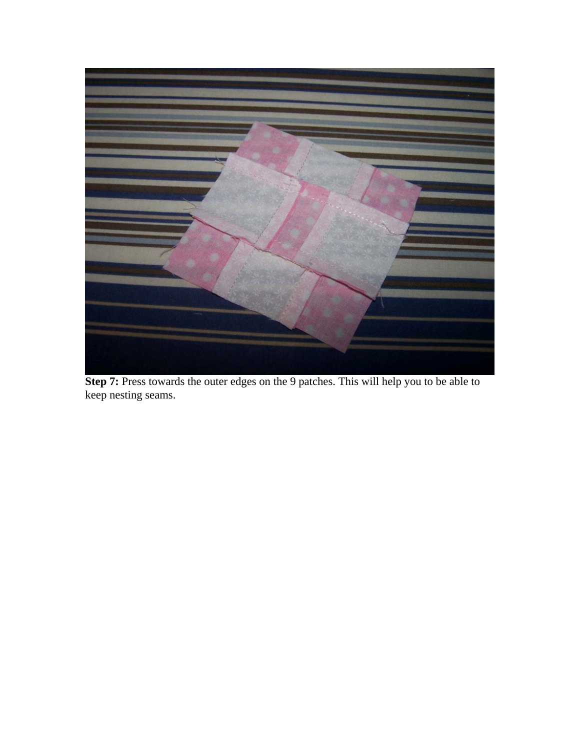![](_page_9_Picture_0.jpeg)

**Step 7:** Press towards the outer edges on the 9 patches. This will help you to be able to keep nesting seams.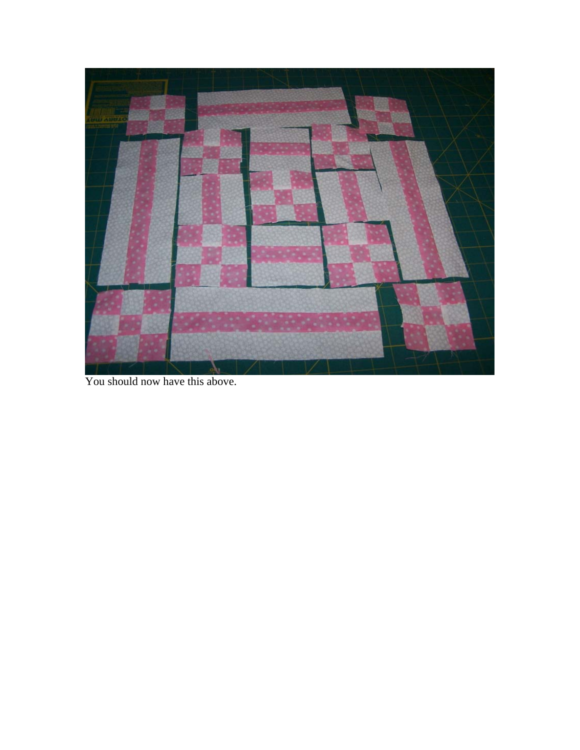![](_page_10_Picture_0.jpeg)

You should now have this above.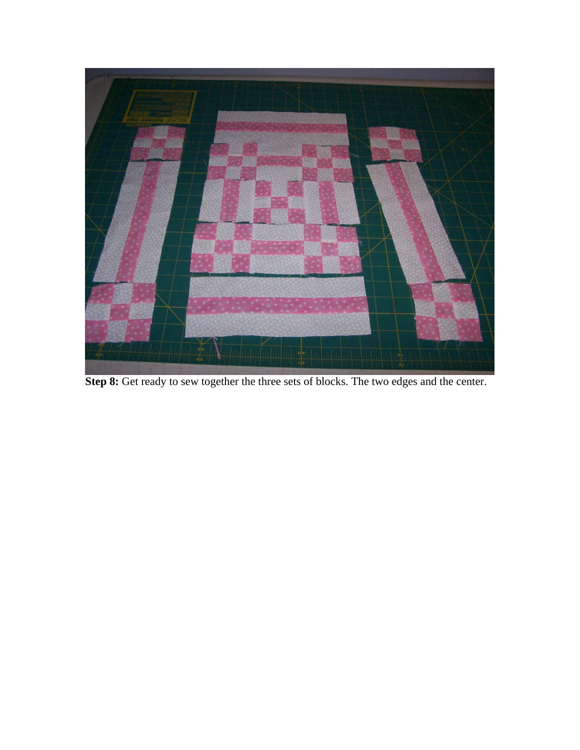![](_page_11_Picture_0.jpeg)

**Step 8:** Get ready to sew together the three sets of blocks. The two edges and the center.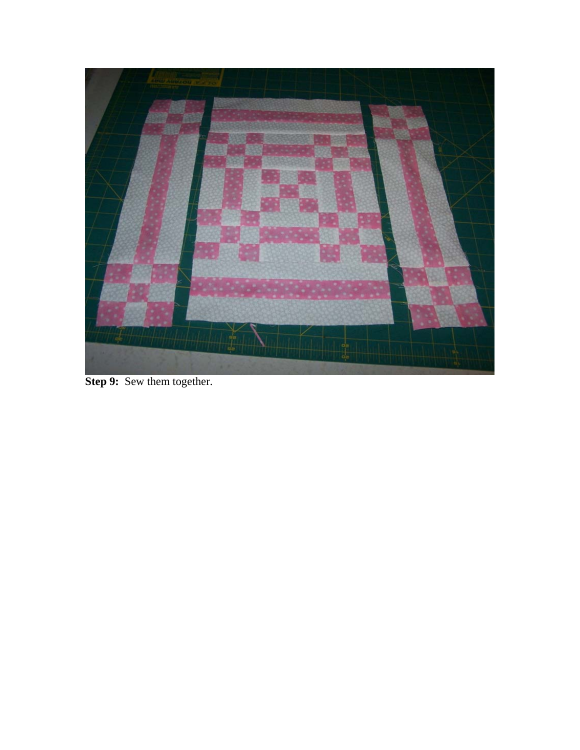![](_page_12_Picture_0.jpeg)

**Step 9:** Sew them together.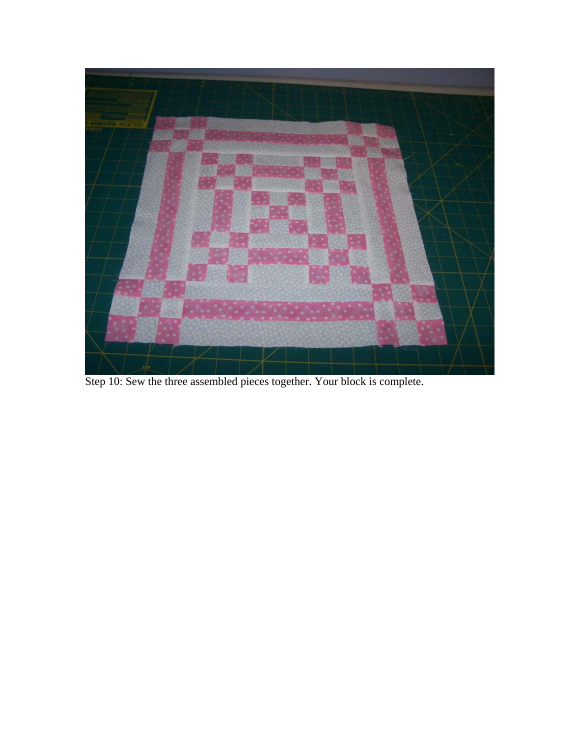![](_page_13_Picture_0.jpeg)

Step 10: Sew the three assembled pieces together. Your block is complete.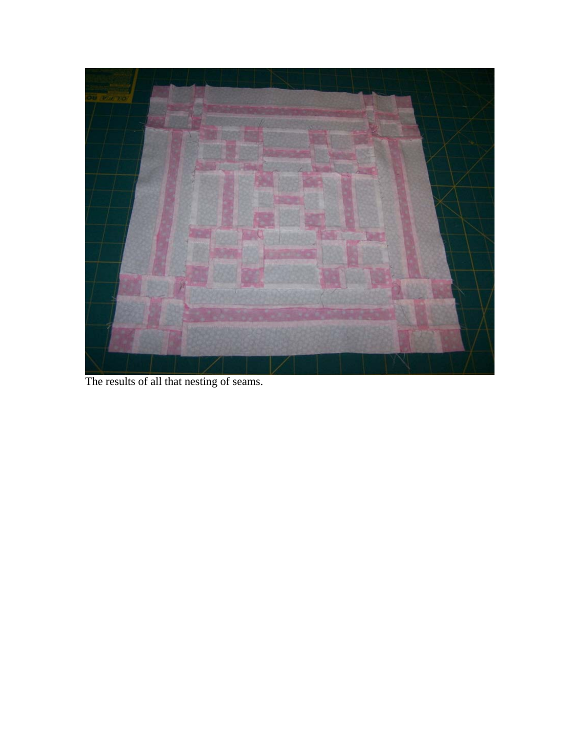![](_page_14_Picture_0.jpeg)

The results of all that nesting of seams.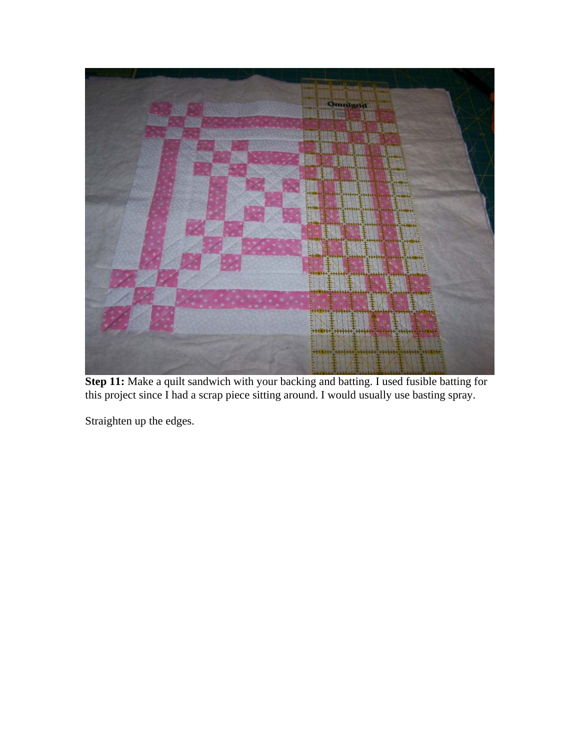![](_page_15_Picture_0.jpeg)

**Step 11:** Make a quilt sandwich with your backing and batting. I used fusible batting for this project since I had a scrap piece sitting around. I would usually use basting spray.

Straighten up the edges.